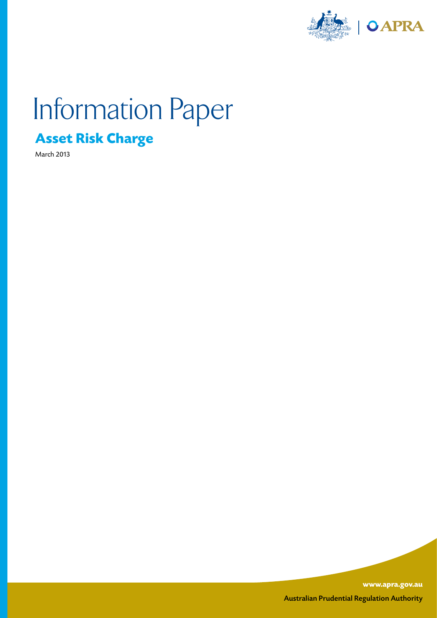

# Information Paper

## **Asset Risk Charge**

March 2013

**www.apra.gov.au** Australian Prudential Regulation Authority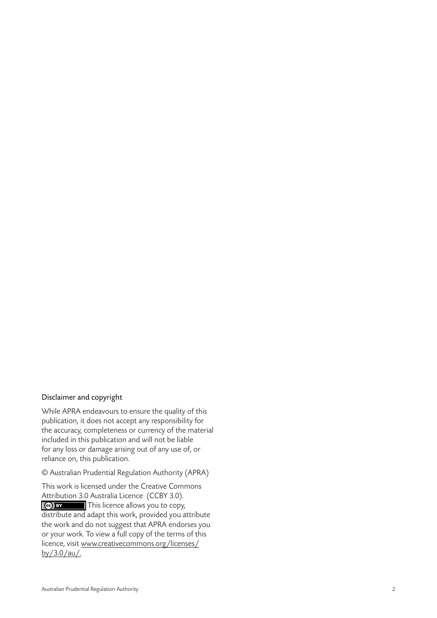#### Disclaimer and copyright

While APRA endeavours to ensure the quality of this publication, it does not accept any responsibility for the accuracy, completeness or currency of the material included in this publication and will not be liable for any loss or damage arising out of any use of, or reliance on, this publication.

© Australian Prudential Regulation Authority (APRA)

This work is licensed under the Creative Commons Attribution 3.0 Australia Licence (CCBY 3.0). This licence allows you to copy, distribute and adapt this work, provided you attribute the work and do not suggest that APRA endorses you or your work. To view a full copy of the terms of this licence, visit www.creativecommons.org/licenses/ by/3.0/au/.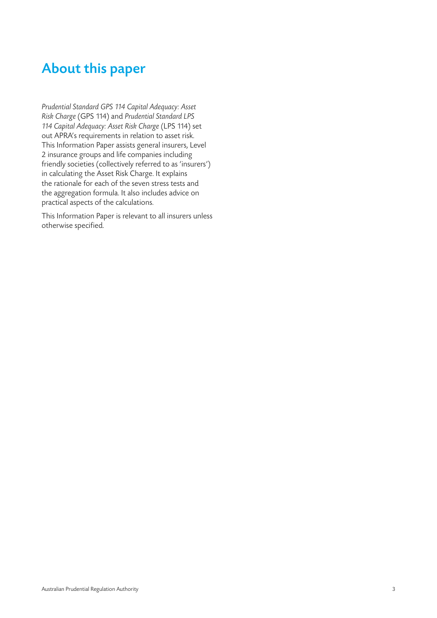## About this paper

*Prudential Standard GPS 114 Capital Adequacy: Asset Risk Charge* (GPS 114) and *Prudential Standard LPS 114 Capital Adequacy: Asset Risk Charge* (LPS 114) set out APRA's requirements in relation to asset risk. This Information Paper assists general insurers, Level 2 insurance groups and life companies including friendly societies (collectively referred to as 'insurers') in calculating the Asset Risk Charge. It explains the rationale for each of the seven stress tests and the aggregation formula. It also includes advice on practical aspects of the calculations.

This Information Paper is relevant to all insurers unless otherwise specified.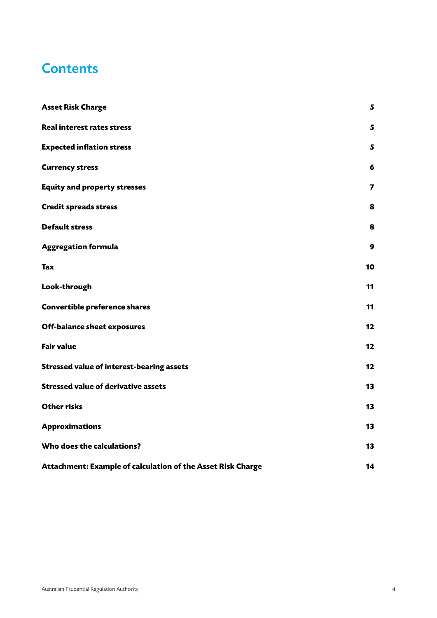### **Contents**

| <b>Asset Risk Charge</b>                                    | 5  |
|-------------------------------------------------------------|----|
| <b>Real interest rates stress</b>                           | 5  |
| <b>Expected inflation stress</b>                            | 5  |
| <b>Currency stress</b>                                      | 6  |
| <b>Equity and property stresses</b>                         | 7  |
| <b>Credit spreads stress</b>                                | 8  |
| <b>Default stress</b>                                       | 8  |
| <b>Aggregation formula</b>                                  | 9  |
| <b>Tax</b>                                                  | 10 |
| Look-through                                                | 11 |
| Convertible preference shares                               | 11 |
| <b>Off-balance sheet exposures</b>                          | 12 |
| <b>Fair value</b>                                           | 12 |
| <b>Stressed value of interest-bearing assets</b>            | 12 |
| <b>Stressed value of derivative assets</b>                  | 13 |
| <b>Other risks</b>                                          | 13 |
| <b>Approximations</b>                                       | 13 |
| Who does the calculations?                                  | 13 |
| Attachment: Example of calculation of the Asset Risk Charge | 14 |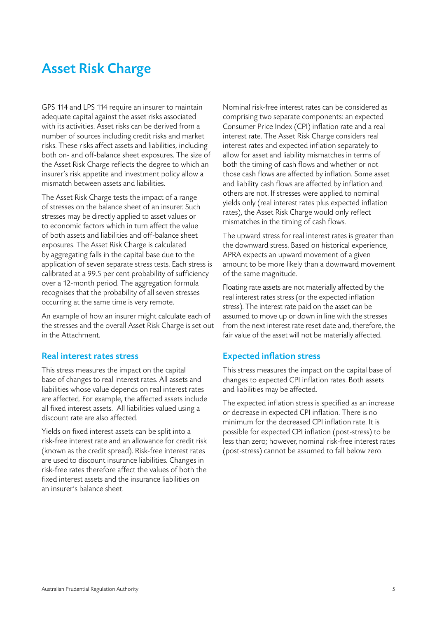## Asset Risk Charge

GPS 114 and LPS 114 require an insurer to maintain adequate capital against the asset risks associated with its activities. Asset risks can be derived from a number of sources including credit risks and market risks. These risks affect assets and liabilities, including both on- and off-balance sheet exposures. The size of the Asset Risk Charge reflects the degree to which an insurer's risk appetite and investment policy allow a mismatch between assets and liabilities.

The Asset Risk Charge tests the impact of a range of stresses on the balance sheet of an insurer. Such stresses may be directly applied to asset values or to economic factors which in turn affect the value of both assets and liabilities and off-balance sheet exposures. The Asset Risk Charge is calculated by aggregating falls in the capital base due to the application of seven separate stress tests. Each stress is calibrated at a 99.5 per cent probability of sufficiency over a 12-month period. The aggregation formula recognises that the probability of all seven stresses occurring at the same time is very remote.

An example of how an insurer might calculate each of the stresses and the overall Asset Risk Charge is set out in the Attachment.

#### Real interest rates stress

This stress measures the impact on the capital base of changes to real interest rates. All assets and liabilities whose value depends on real interest rates are affected. For example, the affected assets include all fixed interest assets. All liabilities valued using a discount rate are also affected.

Yields on fixed interest assets can be split into a risk-free interest rate and an allowance for credit risk (known as the credit spread). Risk-free interest rates are used to discount insurance liabilities. Changes in risk-free rates therefore affect the values of both the fixed interest assets and the insurance liabilities on an insurer's balance sheet.

Nominal risk-free interest rates can be considered as comprising two separate components: an expected Consumer Price Index (CPI) inflation rate and a real interest rate. The Asset Risk Charge considers real interest rates and expected inflation separately to allow for asset and liability mismatches in terms of both the timing of cash flows and whether or not those cash flows are affected by inflation. Some asset and liability cash flows are affected by inflation and others are not. If stresses were applied to nominal yields only (real interest rates plus expected inflation rates), the Asset Risk Charge would only reflect mismatches in the timing of cash flows.

The upward stress for real interest rates is greater than the downward stress. Based on historical experience, APRA expects an upward movement of a given amount to be more likely than a downward movement of the same magnitude.

Floating rate assets are not materially affected by the real interest rates stress (or the expected inflation stress). The interest rate paid on the asset can be assumed to move up or down in line with the stresses from the next interest rate reset date and, therefore, the fair value of the asset will not be materially affected.

#### Expected inflation stress

This stress measures the impact on the capital base of changes to expected CPI inflation rates. Both assets and liabilities may be affected.

The expected inflation stress is specified as an increase or decrease in expected CPI inflation. There is no minimum for the decreased CPI inflation rate. It is possible for expected CPI inflation (post-stress) to be less than zero; however, nominal risk-free interest rates (post-stress) cannot be assumed to fall below zero.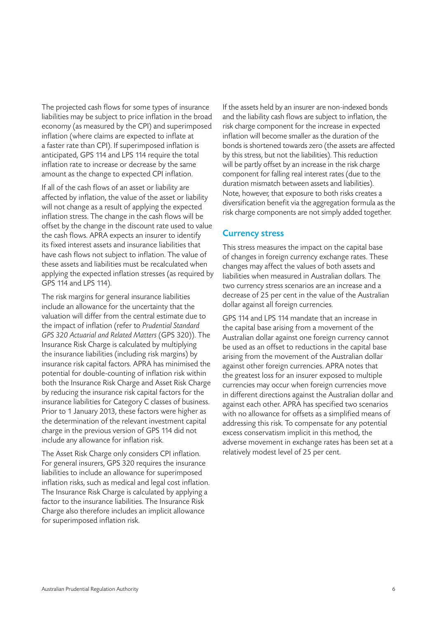The projected cash flows for some types of insurance liabilities may be subject to price inflation in the broad economy (as measured by the CPI) and superimposed inflation (where claims are expected to inflate at a faster rate than CPI). If superimposed inflation is anticipated, GPS 114 and LPS 114 require the total inflation rate to increase or decrease by the same amount as the change to expected CPI inflation.

If all of the cash flows of an asset or liability are affected by inflation, the value of the asset or liability will not change as a result of applying the expected inflation stress. The change in the cash flows will be offset by the change in the discount rate used to value the cash flows. APRA expects an insurer to identify its fixed interest assets and insurance liabilities that have cash flows not subject to inflation. The value of these assets and liabilities must be recalculated when applying the expected inflation stresses (as required by GPS 114 and LPS 114).

The risk margins for general insurance liabilities include an allowance for the uncertainty that the valuation will differ from the central estimate due to the impact of inflation (refer to *Prudential Standard GPS 320 Actuarial and Related Matters* (GPS 320)). The Insurance Risk Charge is calculated by multiplying the insurance liabilities (including risk margins) by insurance risk capital factors. APRA has minimised the potential for double-counting of inflation risk within both the Insurance Risk Charge and Asset Risk Charge by reducing the insurance risk capital factors for the insurance liabilities for Category C classes of business. Prior to 1 January 2013, these factors were higher as the determination of the relevant investment capital charge in the previous version of GPS 114 did not include any allowance for inflation risk.

The Asset Risk Charge only considers CPI inflation. For general insurers, GPS 320 requires the insurance liabilities to include an allowance for superimposed inflation risks, such as medical and legal cost inflation. The Insurance Risk Charge is calculated by applying a factor to the insurance liabilities. The Insurance Risk Charge also therefore includes an implicit allowance for superimposed inflation risk.

If the assets held by an insurer are non-indexed bonds and the liability cash flows are subject to inflation, the risk charge component for the increase in expected inflation will become smaller as the duration of the bonds is shortened towards zero (the assets are affected by this stress, but not the liabilities). This reduction will be partly offset by an increase in the risk charge component for falling real interest rates (due to the duration mismatch between assets and liabilities). Note, however, that exposure to both risks creates a diversification benefit via the aggregation formula as the risk charge components are not simply added together.

#### Currency stress

This stress measures the impact on the capital base of changes in foreign currency exchange rates. These changes may affect the values of both assets and liabilities when measured in Australian dollars. The two currency stress scenarios are an increase and a decrease of 25 per cent in the value of the Australian dollar against all foreign currencies.

GPS 114 and LPS 114 mandate that an increase in the capital base arising from a movement of the Australian dollar against one foreign currency cannot be used as an offset to reductions in the capital base arising from the movement of the Australian dollar against other foreign currencies. APRA notes that the greatest loss for an insurer exposed to multiple currencies may occur when foreign currencies move in different directions against the Australian dollar and against each other. APRA has specified two scenarios with no allowance for offsets as a simplified means of addressing this risk. To compensate for any potential excess conservatism implicit in this method, the adverse movement in exchange rates has been set at a relatively modest level of 25 per cent.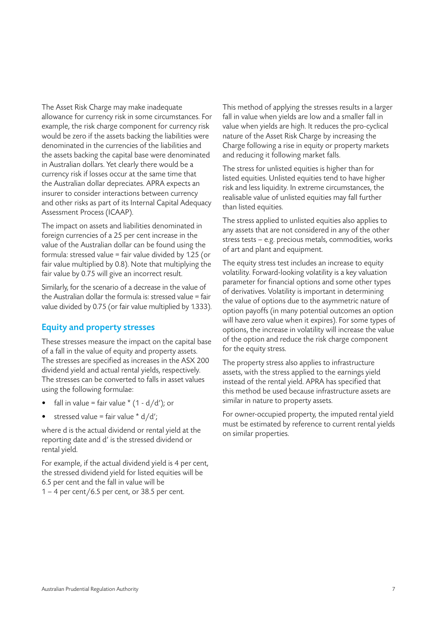The Asset Risk Charge may make inadequate allowance for currency risk in some circumstances. For example, the risk charge component for currency risk would be zero if the assets backing the liabilities were denominated in the currencies of the liabilities and the assets backing the capital base were denominated in Australian dollars. Yet clearly there would be a currency risk if losses occur at the same time that the Australian dollar depreciates. APRA expects an insurer to consider interactions between currency and other risks as part of its Internal Capital Adequacy Assessment Process (ICAAP).

The impact on assets and liabilities denominated in foreign currencies of a 25 per cent increase in the value of the Australian dollar can be found using the formula: stressed value = fair value divided by 1.25 (or fair value multiplied by 0.8). Note that multiplying the fair value by 0.75 will give an incorrect result.

Similarly, for the scenario of a decrease in the value of the Australian dollar the formula is: stressed value = fair value divided by 0.75 (or fair value multiplied by 1.333).

#### Equity and property stresses

These stresses measure the impact on the capital base of a fall in the value of equity and property assets. The stresses are specified as increases in the ASX 200 dividend yield and actual rental yields, respectively. The stresses can be converted to falls in asset values using the following formulae:

- fall in value = fair value  $*(1 d/d')$ ; or
- stressed value = fair value  $* d/d'$ ;

where d is the actual dividend or rental yield at the reporting date and d' is the stressed dividend or rental yield.

For example, if the actual dividend yield is 4 per cent, the stressed dividend yield for listed equities will be 6.5 per cent and the fall in value will be 1 – 4 per cent/6.5 per cent, or 38.5 per cent.

This method of applying the stresses results in a larger fall in value when yields are low and a smaller fall in value when yields are high. It reduces the pro-cyclical nature of the Asset Risk Charge by increasing the Charge following a rise in equity or property markets and reducing it following market falls.

The stress for unlisted equities is higher than for listed equities. Unlisted equities tend to have higher risk and less liquidity. In extreme circumstances, the realisable value of unlisted equities may fall further than listed equities.

The stress applied to unlisted equities also applies to any assets that are not considered in any of the other stress tests – e.g. precious metals, commodities, works of art and plant and equipment.

The equity stress test includes an increase to equity volatility. Forward-looking volatility is a key valuation parameter for financial options and some other types of derivatives. Volatility is important in determining the value of options due to the asymmetric nature of option payoffs (in many potential outcomes an option will have zero value when it expires). For some types of options, the increase in volatility will increase the value of the option and reduce the risk charge component for the equity stress.

The property stress also applies to infrastructure assets, with the stress applied to the earnings yield instead of the rental yield. APRA has specified that this method be used because infrastructure assets are similar in nature to property assets.

For owner-occupied property, the imputed rental yield must be estimated by reference to current rental yields on similar properties.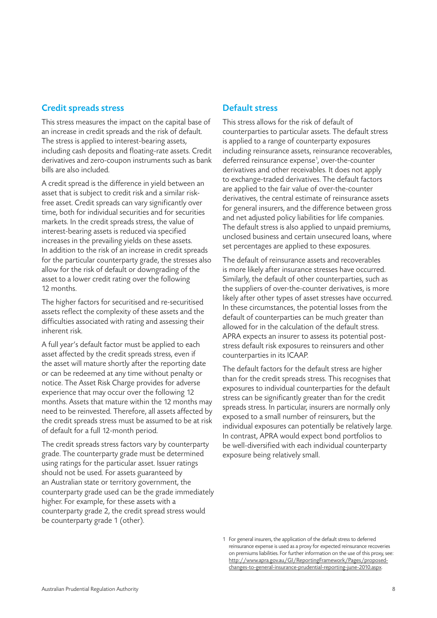#### Credit spreads stress

This stress measures the impact on the capital base of an increase in credit spreads and the risk of default. The stress is applied to interest-bearing assets, including cash deposits and floating-rate assets. Credit derivatives and zero-coupon instruments such as bank bills are also included.

A credit spread is the difference in yield between an asset that is subject to credit risk and a similar riskfree asset. Credit spreads can vary significantly over time, both for individual securities and for securities markets. In the credit spreads stress, the value of interest-bearing assets is reduced via specified increases in the prevailing yields on these assets. In addition to the risk of an increase in credit spreads for the particular counterparty grade, the stresses also allow for the risk of default or downgrading of the asset to a lower credit rating over the following 12 months.

The higher factors for securitised and re-securitised assets reflect the complexity of these assets and the difficulties associated with rating and assessing their inherent risk.

A full year's default factor must be applied to each asset affected by the credit spreads stress, even if the asset will mature shortly after the reporting date or can be redeemed at any time without penalty or notice. The Asset Risk Charge provides for adverse experience that may occur over the following 12 months. Assets that mature within the 12 months may need to be reinvested. Therefore, all assets affected by the credit spreads stress must be assumed to be at risk of default for a full 12-month period.

The credit spreads stress factors vary by counterparty grade. The counterparty grade must be determined using ratings for the particular asset. Issuer ratings should not be used. For assets guaranteed by an Australian state or territory government, the counterparty grade used can be the grade immediately higher. For example, for these assets with a counterparty grade 2, the credit spread stress would be counterparty grade 1 (other).

#### Default stress

This stress allows for the risk of default of counterparties to particular assets. The default stress is applied to a range of counterparty exposures including reinsurance assets, reinsurance recoverables, deferred reinsurance expense<sup>1</sup>, over-the-counter derivatives and other receivables. It does not apply to exchange-traded derivatives. The default factors are applied to the fair value of over-the-counter derivatives, the central estimate of reinsurance assets for general insurers, and the difference between gross and net adjusted policy liabilities for life companies. The default stress is also applied to unpaid premiums, unclosed business and certain unsecured loans, where set percentages are applied to these exposures.

The default of reinsurance assets and recoverables is more likely after insurance stresses have occurred. Similarly, the default of other counterparties, such as the suppliers of over-the-counter derivatives, is more likely after other types of asset stresses have occurred. In these circumstances, the potential losses from the default of counterparties can be much greater than allowed for in the calculation of the default stress. APRA expects an insurer to assess its potential poststress default risk exposures to reinsurers and other counterparties in its ICAAP.

The default factors for the default stress are higher than for the credit spreads stress. This recognises that exposures to individual counterparties for the default stress can be significantly greater than for the credit spreads stress. In particular, insurers are normally only exposed to a small number of reinsurers, but the individual exposures can potentially be relatively large. In contrast, APRA would expect bond portfolios to be well-diversified with each individual counterparty exposure being relatively small.

<sup>1</sup> For general insurers, the application of the default stress to deferred reinsurance expense is used as a proxy for expected reinsurance recoveries on premiums liabilities. For further information on the use of this proxy, see: http://www.apra.gov.au/GI/ReportingFramework/Pages/proposedchanges-to-general-insurance-prudential-reporting-june-2010.aspx.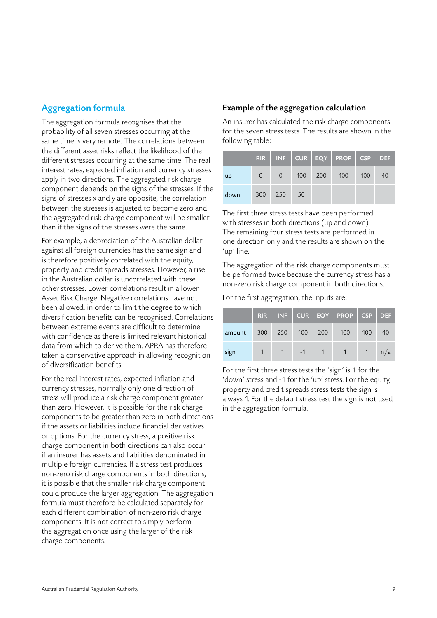#### Aggregation formula

The aggregation formula recognises that the probability of all seven stresses occurring at the same time is very remote. The correlations between the different asset risks reflect the likelihood of the different stresses occurring at the same time. The real interest rates, expected inflation and currency stresses apply in two directions. The aggregated risk charge component depends on the signs of the stresses. If the signs of stresses x and y are opposite, the correlation between the stresses is adjusted to become zero and the aggregated risk charge component will be smaller than if the signs of the stresses were the same.

For example, a depreciation of the Australian dollar against all foreign currencies has the same sign and is therefore positively correlated with the equity, property and credit spreads stresses. However, a rise in the Australian dollar is uncorrelated with these other stresses. Lower correlations result in a lower Asset Risk Charge. Negative correlations have not been allowed, in order to limit the degree to which diversification benefits can be recognised. Correlations between extreme events are difficult to determine with confidence as there is limited relevant historical data from which to derive them. APRA has therefore taken a conservative approach in allowing recognition of diversification benefits.

For the real interest rates, expected inflation and currency stresses, normally only one direction of stress will produce a risk charge component greater than zero. However, it is possible for the risk charge components to be greater than zero in both directions if the assets or liabilities include financial derivatives or options. For the currency stress, a positive risk charge component in both directions can also occur if an insurer has assets and liabilities denominated in multiple foreign currencies. If a stress test produces non-zero risk charge components in both directions, it is possible that the smaller risk charge component could produce the larger aggregation. The aggregation formula must therefore be calculated separately for each different combination of non-zero risk charge components. It is not correct to simply perform the aggregation once using the larger of the risk charge components.

#### Example of the aggregation calculation

An insurer has calculated the risk charge components for the seven stress tests. The results are shown in the following table:

|      |          |          |     |     | $RIR$   INF   CUR   EQY   PROP   CSP   DEF |     |    |
|------|----------|----------|-----|-----|--------------------------------------------|-----|----|
| up   | $\Omega$ | $\Omega$ | 100 | 200 | 100                                        | 100 | 40 |
| down |          | 300 250  | 50  |     |                                            |     |    |

The first three stress tests have been performed with stresses in both directions (up and down). The remaining four stress tests are performed in one direction only and the results are shown on the 'up' line.

The aggregation of the risk charge components must be performed twice because the currency stress has a non-zero risk charge component in both directions.

For the first aggregation, the inputs are:

|        | <b>RIR</b> |     |     |     | INF   CUR   EQY   PROP   CSP   DEF |     |     |
|--------|------------|-----|-----|-----|------------------------------------|-----|-----|
| amount | 300        | 250 | 100 | 200 | 100                                | 100 | 40  |
| sign   |            |     | -1  |     |                                    |     | n/a |

For the first three stress tests the 'sign' is 1 for the 'down' stress and -1 for the 'up' stress. For the equity, property and credit spreads stress tests the sign is always 1. For the default stress test the sign is not used in the aggregation formula.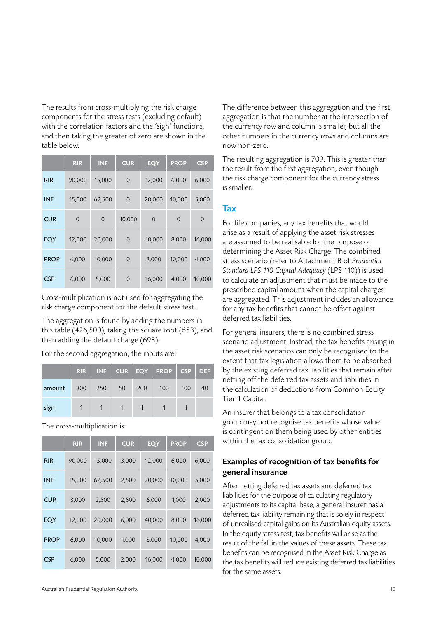The results from cross-multiplying the risk charge components for the stress tests (excluding default) with the correlation factors and the 'sign' functions, and then taking the greater of zero are shown in the table below.

|             | <b>RIR</b>  | <b>INF</b>     | <b>CUR</b>  | <b>EQY</b>     | <b>PROP</b> | <b>CSP</b>  |
|-------------|-------------|----------------|-------------|----------------|-------------|-------------|
| <b>RIR</b>  | 90,000      | 15,000         | $\mathbf 0$ | 12,000         | 6,000       | 6,000       |
| <b>INF</b>  | 15,000      | 62,500         | $\mathbf 0$ | 20,000         | 10,000      | 5,000       |
| <b>CUR</b>  | $\mathbf 0$ | $\overline{0}$ | 10,000      | $\overline{0}$ | $\mathbf 0$ | $\mathbf 0$ |
| <b>EQY</b>  | 12,000      | 20,000         | $\mathbf 0$ | 40,000         | 8,000       | 16,000      |
| <b>PROP</b> | 6,000       | 10,000         | $\mathbf 0$ | 8,000          | 10,000      | 4,000       |
| <b>CSP</b>  | 6,000       | 5,000          | $\mathbf 0$ | 16,000         | 4,000       | 10,000      |

Cross-multiplication is not used for aggregating the risk charge component for the default stress test.

The aggregation is found by adding the numbers in this table (426,500), taking the square root (653), and then adding the default charge (693).

For the second aggregation, the inputs are:

|        | <b>RIR</b> |     |    |     | $INF$   CUR   EQY   PROP   CSP   DEF |     |    |
|--------|------------|-----|----|-----|--------------------------------------|-----|----|
| amount | 300        | 250 | 50 | 200 | 100                                  | 100 | 40 |
| sign   |            |     |    |     |                                      |     |    |

The cross-multiplication is:

|             | <b>RIR</b> | <b>INF</b> | <b>CUR</b> | <b>EQY</b> | <b>PROP</b> | <b>CSP</b> |
|-------------|------------|------------|------------|------------|-------------|------------|
| <b>RIR</b>  | 90,000     | 15,000     | 3,000      | 12,000     | 6,000       | 6,000      |
| <b>INF</b>  | 15,000     | 62,500     | 2,500      | 20,000     | 10,000      | 5,000      |
| <b>CUR</b>  | 3,000      | 2,500      | 2,500      | 6,000      | 1,000       | 2,000      |
| EQY         | 12,000     | 20,000     | 6,000      | 40,000     | 8,000       | 16,000     |
| <b>PROP</b> | 6,000      | 10,000     | 1,000      | 8,000      | 10,000      | 4,000      |
| <b>CSP</b>  | 6,000      | 5,000      | 2,000      | 16,000     | 4,000       | 10,000     |

The difference between this aggregation and the first aggregation is that the number at the intersection of the currency row and column is smaller, but all the other numbers in the currency rows and columns are now non-zero.

The resulting aggregation is 709. This is greater than the result from the first aggregation, even though the risk charge component for the currency stress is smaller.

#### **Tax**

For life companies, any tax benefits that would arise as a result of applying the asset risk stresses are assumed to be realisable for the purpose of determining the Asset Risk Charge. The combined stress scenario (refer to Attachment B of *Prudential Standard LPS 110 Capital Adequacy* (LPS 110)) is used to calculate an adjustment that must be made to the prescribed capital amount when the capital charges are aggregated. This adjustment includes an allowance for any tax benefits that cannot be offset against deferred tax liabilities.

For general insurers, there is no combined stress scenario adjustment. Instead, the tax benefits arising in the asset risk scenarios can only be recognised to the extent that tax legislation allows them to be absorbed by the existing deferred tax liabilities that remain after netting off the deferred tax assets and liabilities in the calculation of deductions from Common Equity Tier 1 Capital.

An insurer that belongs to a tax consolidation group may not recognise tax benefits whose value is contingent on them being used by other entities within the tax consolidation group.

#### Examples of recognition of tax benefits for general insurance

After netting deferred tax assets and deferred tax liabilities for the purpose of calculating regulatory adjustments to its capital base, a general insurer has a deferred tax liability remaining that is solely in respect of unrealised capital gains on its Australian equity assets. In the equity stress test, tax benefits will arise as the result of the fall in the values of these assets. These tax benefits can be recognised in the Asset Risk Charge as the tax benefits will reduce existing deferred tax liabilities for the same assets.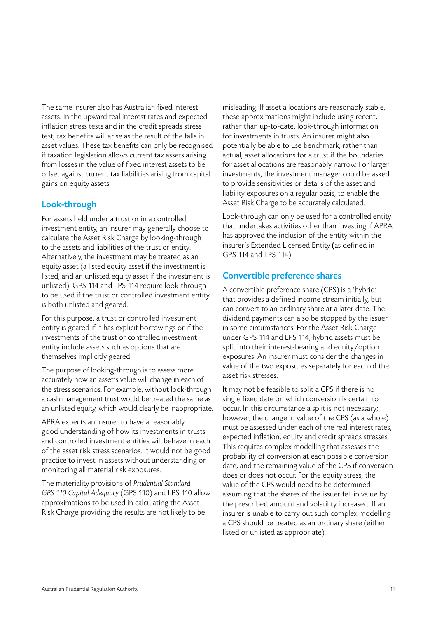The same insurer also has Australian fixed interest assets. In the upward real interest rates and expected inflation stress tests and in the credit spreads stress test, tax benefits will arise as the result of the falls in asset values. These tax benefits can only be recognised if taxation legislation allows current tax assets arising from losses in the value of fixed interest assets to be offset against current tax liabilities arising from capital gains on equity assets.

#### Look-through

For assets held under a trust or in a controlled investment entity, an insurer may generally choose to calculate the Asset Risk Charge by looking-through to the assets and liabilities of the trust or entity. Alternatively, the investment may be treated as an equity asset (a listed equity asset if the investment is listed, and an unlisted equity asset if the investment is unlisted). GPS 114 and LPS 114 require look-through to be used if the trust or controlled investment entity is both unlisted and geared.

For this purpose, a trust or controlled investment entity is geared if it has explicit borrowings or if the investments of the trust or controlled investment entity include assets such as options that are themselves implicitly geared.

The purpose of looking-through is to assess more accurately how an asset's value will change in each of the stress scenarios. For example, without look-through a cash management trust would be treated the same as an unlisted equity, which would clearly be inappropriate.

APRA expects an insurer to have a reasonably good understanding of how its investments in trusts and controlled investment entities will behave in each of the asset risk stress scenarios. It would not be good practice to invest in assets without understanding or monitoring all material risk exposures.

The materiality provisions of *Prudential Standard GPS 110 Capital Adequacy* (GPS 110) and LPS 110 allow approximations to be used in calculating the Asset Risk Charge providing the results are not likely to be

misleading. If asset allocations are reasonably stable, these approximations might include using recent, rather than up-to-date, look-through information for investments in trusts. An insurer might also potentially be able to use benchmark, rather than actual, asset allocations for a trust if the boundaries for asset allocations are reasonably narrow. For larger investments, the investment manager could be asked to provide sensitivities or details of the asset and liability exposures on a regular basis, to enable the Asset Risk Charge to be accurately calculated.

Look-through can only be used for a controlled entity that undertakes activities other than investing if APRA has approved the inclusion of the entity within the insurer's Extended Licensed Entity (as defined in GPS 114 and LPS 114).

#### Convertible preference shares

A convertible preference share (CPS) is a 'hybrid' that provides a defined income stream initially, but can convert to an ordinary share at a later date. The dividend payments can also be stopped by the issuer in some circumstances. For the Asset Risk Charge under GPS 114 and LPS 114, hybrid assets must be split into their interest-bearing and equity/option exposures. An insurer must consider the changes in value of the two exposures separately for each of the asset risk stresses.

It may not be feasible to split a CPS if there is no single fixed date on which conversion is certain to occur. In this circumstance a split is not necessary; however, the change in value of the CPS (as a whole) must be assessed under each of the real interest rates, expected inflation, equity and credit spreads stresses. This requires complex modelling that assesses the probability of conversion at each possible conversion date, and the remaining value of the CPS if conversion does or does not occur. For the equity stress, the value of the CPS would need to be determined assuming that the shares of the issuer fell in value by the prescribed amount and volatility increased. If an insurer is unable to carry out such complex modelling a CPS should be treated as an ordinary share (either listed or unlisted as appropriate).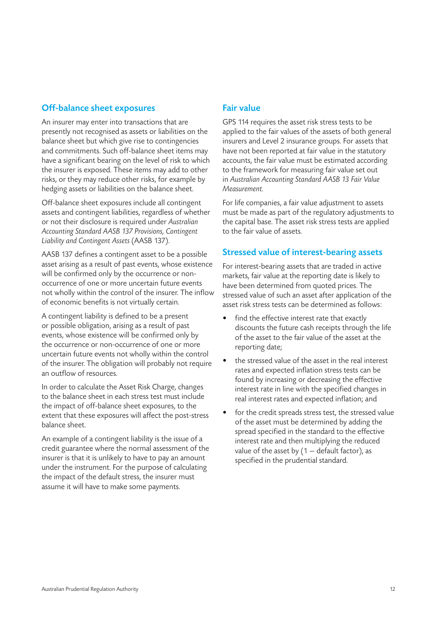#### Off-balance sheet exposures

An insurer may enter into transactions that are presently not recognised as assets or liabilities on the balance sheet but which give rise to contingencies and commitments. Such off-balance sheet items may have a significant bearing on the level of risk to which the insurer is exposed. These items may add to other risks, or they may reduce other risks, for example by hedging assets or liabilities on the balance sheet.

Off-balance sheet exposures include all contingent assets and contingent liabilities, regardless of whether or not their disclosure is required under *Australian Accounting Standard AASB 137 Provisions, Contingent Liability and Contingent Assets* (AASB 137).

AASB 137 defines a contingent asset to be a possible asset arising as a result of past events, whose existence will be confirmed only by the occurrence or nonoccurrence of one or more uncertain future events not wholly within the control of the insurer. The inflow of economic benefits is not virtually certain.

A contingent liability is defined to be a present or possible obligation, arising as a result of past events, whose existence will be confirmed only by the occurrence or non-occurrence of one or more uncertain future events not wholly within the control of the insurer. The obligation will probably not require an outflow of resources.

In order to calculate the Asset Risk Charge, changes to the balance sheet in each stress test must include the impact of off-balance sheet exposures, to the extent that these exposures will affect the post-stress balance sheet.

An example of a contingent liability is the issue of a credit guarantee where the normal assessment of the insurer is that it is unlikely to have to pay an amount under the instrument. For the purpose of calculating the impact of the default stress, the insurer must assume it will have to make some payments.

#### Fair value

GPS 114 requires the asset risk stress tests to be applied to the fair values of the assets of both general insurers and Level 2 insurance groups. For assets that have not been reported at fair value in the statutory accounts, the fair value must be estimated according to the framework for measuring fair value set out in *Australian Accounting Standard AASB 13 Fair Value Measurement.*

For life companies, a fair value adjustment to assets must be made as part of the regulatory adjustments to the capital base. The asset risk stress tests are applied to the fair value of assets.

#### Stressed value of interest-bearing assets

For interest-bearing assets that are traded in active markets, fair value at the reporting date is likely to have been determined from quoted prices. The stressed value of such an asset after application of the asset risk stress tests can be determined as follows:

- find the effective interest rate that exactly discounts the future cash receipts through the life of the asset to the fair value of the asset at the reporting date;
- the stressed value of the asset in the real interest rates and expected inflation stress tests can be found by increasing or decreasing the effective interest rate in line with the specified changes in real interest rates and expected inflation; and
- for the credit spreads stress test, the stressed value of the asset must be determined by adding the spread specified in the standard to the effective interest rate and then multiplying the reduced value of the asset by  $(1 -$  default factor), as specified in the prudential standard.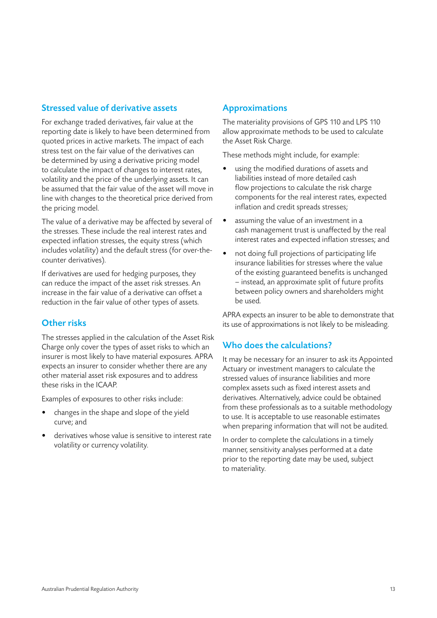#### Stressed value of derivative assets

For exchange traded derivatives, fair value at the reporting date is likely to have been determined from quoted prices in active markets. The impact of each stress test on the fair value of the derivatives can be determined by using a derivative pricing model to calculate the impact of changes to interest rates, volatility and the price of the underlying assets. It can be assumed that the fair value of the asset will move in line with changes to the theoretical price derived from the pricing model.

The value of a derivative may be affected by several of the stresses. These include the real interest rates and expected inflation stresses, the equity stress (which includes volatility) and the default stress (for over-thecounter derivatives).

If derivatives are used for hedging purposes, they can reduce the impact of the asset risk stresses. An increase in the fair value of a derivative can offset a reduction in the fair value of other types of assets.

#### Other risks

The stresses applied in the calculation of the Asset Risk Charge only cover the types of asset risks to which an insurer is most likely to have material exposures. APRA expects an insurer to consider whether there are any other material asset risk exposures and to address these risks in the ICAAP.

Examples of exposures to other risks include:

- changes in the shape and slope of the yield curve; and
- derivatives whose value is sensitive to interest rate volatility or currency volatility.

#### Approximations

The materiality provisions of GPS 110 and LPS 110 allow approximate methods to be used to calculate the Asset Risk Charge.

These methods might include, for example:

- using the modified durations of assets and liabilities instead of more detailed cash flow projections to calculate the risk charge components for the real interest rates, expected inflation and credit spreads stresses;
- assuming the value of an investment in a cash management trust is unaffected by the real interest rates and expected inflation stresses; and
- not doing full projections of participating life insurance liabilities for stresses where the value of the existing guaranteed benefits is unchanged – instead, an approximate split of future profits between policy owners and shareholders might be used.

APRA expects an insurer to be able to demonstrate that its use of approximations is not likely to be misleading.

#### Who does the calculations?

It may be necessary for an insurer to ask its Appointed Actuary or investment managers to calculate the stressed values of insurance liabilities and more complex assets such as fixed interest assets and derivatives. Alternatively, advice could be obtained from these professionals as to a suitable methodology to use. It is acceptable to use reasonable estimates when preparing information that will not be audited.

In order to complete the calculations in a timely manner, sensitivity analyses performed at a date prior to the reporting date may be used, subject to materiality.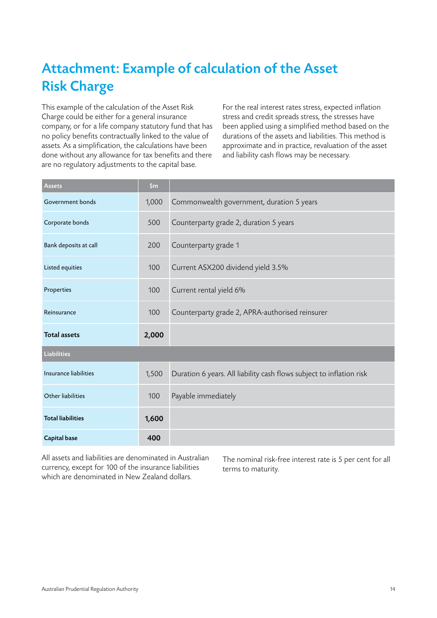# Attachment: Example of calculation of the Asset Risk Charge

This example of the calculation of the Asset Risk Charge could be either for a general insurance company, or for a life company statutory fund that has no policy benefits contractually linked to the value of assets. As a simplification, the calculations have been done without any allowance for tax benefits and there are no regulatory adjustments to the capital base.

For the real interest rates stress, expected inflation stress and credit spreads stress, the stresses have been applied using a simplified method based on the durations of the assets and liabilities. This method is approximate and in practice, revaluation of the asset and liability cash flows may be necessary.

| Assets                   | \$m\$ |                                                                      |
|--------------------------|-------|----------------------------------------------------------------------|
| Government bonds         | 1,000 | Commonwealth government, duration 5 years                            |
| Corporate bonds          | 500   | Counterparty grade 2, duration 5 years                               |
| Bank deposits at call    | 200   | Counterparty grade 1                                                 |
| Listed equities          | 100   | Current ASX200 dividend yield 3.5%                                   |
| Properties               | 100   | Current rental yield 6%                                              |
| Reinsurance              | 100   | Counterparty grade 2, APRA-authorised reinsurer                      |
| <b>Total assets</b>      | 2,000 |                                                                      |
| Liabilities              |       |                                                                      |
| Insurance liabilities    | 1,500 | Duration 6 years. All liability cash flows subject to inflation risk |
| Other liabilities        | 100   | Payable immediately                                                  |
| <b>Total liabilities</b> | 1,600 |                                                                      |
| <b>Capital base</b>      | 400   |                                                                      |

All assets and liabilities are denominated in Australian currency, except for 100 of the insurance liabilities which are denominated in New Zealand dollars.

The nominal risk-free interest rate is 5 per cent for all terms to maturity.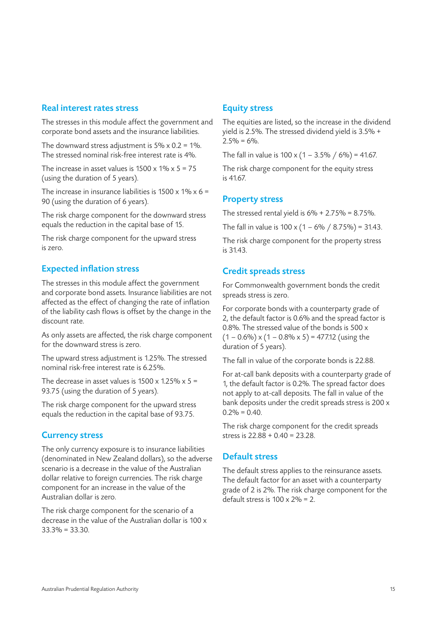#### Real interest rates stress

The stresses in this module affect the government and corporate bond assets and the insurance liabilities.

The downward stress adjustment is  $5\% \times 0.2 = 1\%$ . The stressed nominal risk-free interest rate is 4%.

The increase in asset values is  $1500 \times 1\% \times 5 = 75$ (using the duration of 5 years).

The increase in insurance liabilities is  $1500 \times 1\% \times 6 =$ 90 (using the duration of 6 years).

The risk charge component for the downward stress equals the reduction in the capital base of 15.

The risk charge component for the upward stress is zero.

#### Expected inflation stress

The stresses in this module affect the government and corporate bond assets. Insurance liabilities are not affected as the effect of changing the rate of inflation of the liability cash flows is offset by the change in the discount rate.

As only assets are affected, the risk charge component for the downward stress is zero.

The upward stress adjustment is 1.25%. The stressed nominal risk-free interest rate is 6.25%.

The decrease in asset values is  $1500 \times 1.25\% \times 5 =$ 93.75 (using the duration of 5 years).

The risk charge component for the upward stress equals the reduction in the capital base of 93.75.

#### Currency stress

The only currency exposure is to insurance liabilities (denominated in New Zealand dollars), so the adverse scenario is a decrease in the value of the Australian dollar relative to foreign currencies. The risk charge component for an increase in the value of the Australian dollar is zero.

The risk charge component for the scenario of a decrease in the value of the Australian dollar is 100 x 33.3% = 33.30.

#### Equity stress

The equities are listed, so the increase in the dividend yield is 2.5%. The stressed dividend yield is 3.5% +  $2.5\% = 6\%$ .

The fall in value is  $100 \times (1 - 3.5\% / 6\%) = 41.67$ .

The risk charge component for the equity stress is  $4167$ 

#### Property stress

The stressed rental yield is  $6\% + 2.75\% = 8.75\%$ .

The fall in value is  $100 \times (1 - 6\% / 8.75\%) = 31.43$ .

The risk charge component for the property stress is 31.43.

#### Credit spreads stress

For Commonwealth government bonds the credit spreads stress is zero.

For corporate bonds with a counterparty grade of 2, the default factor is 0.6% and the spread factor is 0.8%. The stressed value of the bonds is 500 x  $(1 - 0.6\%) \times (1 - 0.8\% \times 5) = 477.12$  (using the duration of 5 years).

The fall in value of the corporate bonds is 22.88.

For at-call bank deposits with a counterparty grade of 1, the default factor is 0.2%. The spread factor does not apply to at-call deposits. The fall in value of the bank deposits under the credit spreads stress is 200 x  $0.2\% = 0.40$ .

The risk charge component for the credit spreads stress is 22.88 + 0.40 = 23.28.

#### Default stress

The default stress applies to the reinsurance assets. The default factor for an asset with a counterparty grade of 2 is 2%. The risk charge component for the default stress is  $100 \times 2\% = 2$ .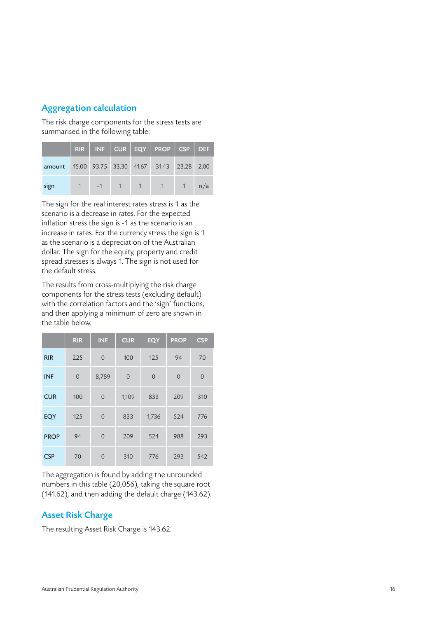#### Aggregation calculation

The risk charge components for the stress tests are summarised in the following table:

|                                                 |      |             |                     | $RIR$   INF   CUR   EQY   PROP   CSP   DEF |      |     |
|-------------------------------------------------|------|-------------|---------------------|--------------------------------------------|------|-----|
| amount 15.00 93.75 33.30 41.67 31.43 23.28 2.00 |      |             |                     |                                            |      |     |
| sign                                            | $-1$ | $\sqrt{-1}$ | $1 \quad 1 \quad 1$ | $\sim$ 1                                   | $-1$ | n/a |

The sign for the real interest rates stress is 1 as the scenario is a decrease in rates. For the expected inflation stress the sign is -1 as the scenario is an increase in rates. For the currency stress the sign is 1 as the scenario is a depreciation of the Australian dollar. The sign for the equity, property and credit spread stresses is always 1. The sign is not used for the default stress.

The results from cross-multiplying the risk charge components for the stress tests (excluding default) with the correlation factors and the 'sign' functions, and then applying a minimum of zero are shown in the table below.

|             | <b>RIR</b>  | <b>INF</b>     | <b>CUR</b>  | <b>EQY</b>     | <b>PROP</b> | <b>CSP</b>  |
|-------------|-------------|----------------|-------------|----------------|-------------|-------------|
| <b>RIR</b>  | 225         | $\overline{0}$ | 100         | 125            | 94          | 70          |
| <b>INF</b>  | $\mathbf 0$ | 8,789          | $\mathbf 0$ | $\overline{0}$ | $\mathbf 0$ | $\mathbf 0$ |
| <b>CUR</b>  | 100         | $\mathbf 0$    | 1,109       | 833            | 209         | 310         |
| EQY         | 125         | $\overline{0}$ | 833         | 1,736          | 524         | 776         |
| <b>PROP</b> | 94          | $\overline{0}$ | 209         | 524            | 988         | 293         |
| <b>CSP</b>  | 70          | $\overline{0}$ | 310         | 776            | 293         | 542         |

The aggregation is found by adding the unrounded numbers in this table (20,056), taking the square root (141.62), and then adding the default charge (143.62).

#### Asset Risk Charge

The resulting Asset Risk Charge is 143.62.